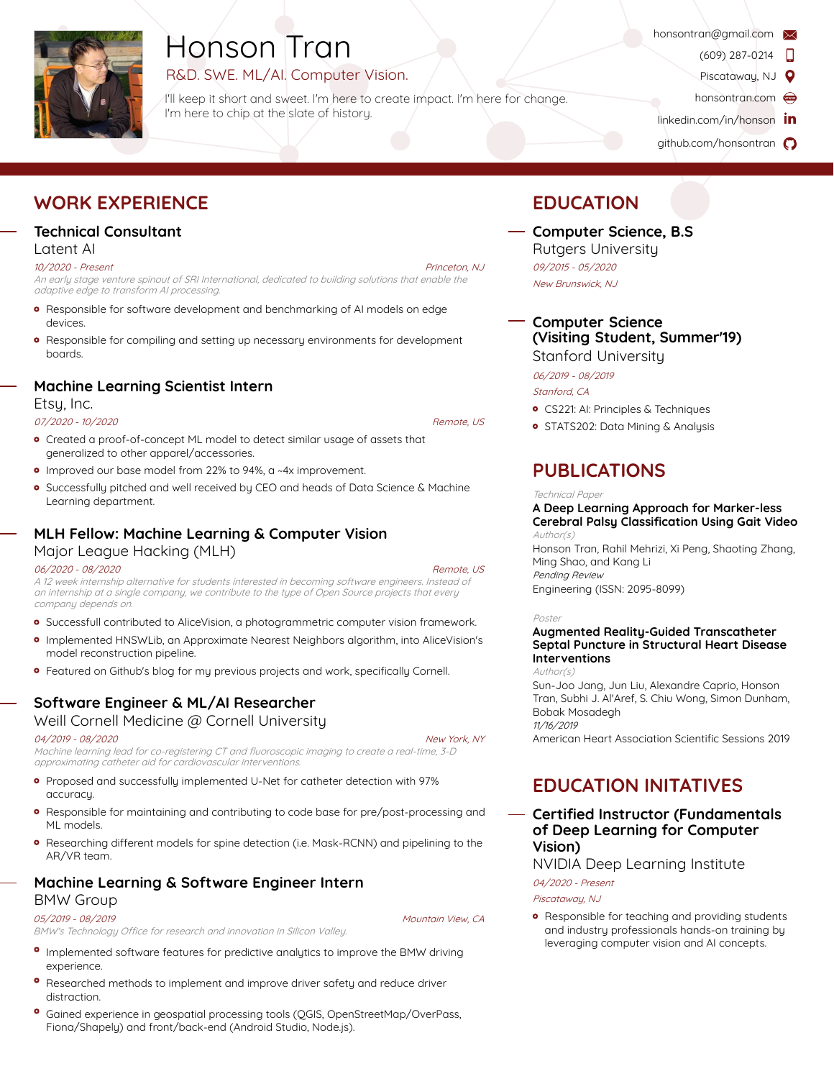

# Honson Tran

# R&D. SWE. ML/AI. Computer Vision.

I'll keep it short and sweet. I'm here to create impact. I'm here for change. I'm here to chip at the slate of history.

- honsontran@gmail.com<br>(609) 287-0214
	-
	- Piscataway, NJ  $\bullet$
	- honsontran.com
- linkedin.com/in/honson **in**
- github.com/honsontran (

# **WORK EXPERIENCE**

# **[Technical Consultan](https://linkedin.com/in/honson)t**

#### Latent AI

#### 10/2020 - Present

An early stage venture spinout of SRI International, dedicated to building solutions that enable the adaptive edge to transform AI processing.

- Responsible for software development and benchmarking of AI models on edge devices.
- **•** Responsible for compiling and setting up necessary environments for development boards.

## **Machine Learning Scientist Intern**

Etsy, Inc.

#### 07/2020 - 10/2020, Remote, US

- Created a proof-of-concept ML model to detect similar usage of assets that generalized to other apparel/accessories.
- o Improved our base model from 22% to 94%, a ~4x improvement.
- Successfully pitched and well received by CEO and heads of Data Science & Machine Learning department.

## **MLH Fellow: Machine Learning & Computer Vision**

#### Major League Hacking (MLH)

#### 06/2020 - 08/2020, Remote, US

A 12 week internship alternative for students interested in becoming software engineers. Instead of an internship at a single company, we contribute to the type of Open Source projects that every company depends on.

- Successfull contributed to AliceVision, a photogrammetric computer vision framework.
- Implemented HNSWLib, an Approximate Nearest Neighbors algorithm, into AliceVision's model reconstruction pipeline.
- Featured on Github's blog for my previous projects and work, specifically Cornell.

# **Software Engineer & ML/AI Researcher**

Weill Cornell Medicine @ Cornell University

#### 04/2019 - 08/2020, New York, NY

Machine learning lead for co-registering CT and fluoroscopic imaging to create a real-time, 3-D approximating catheter aid for cardiovascular interventions.

- Proposed and successfully implemented U-Net for catheter detection with 97% accuracy.
- Responsible for maintaining and contributing to code base for pre/post-processing and ML models.
- Researching diFerent models for spine detection (i.e. Mask-RCNN) and pipelining to the AR/VR team.

# **Machine Learning & Software Engineer Intern**

#### BMW Group

05/2019 - 08/2019,

BMW's Technology Office for research and innovation in Silicon Valley.

- <sup>o</sup> Implemented software features for predictive analytics to improve the BMW driving experience.
- Researched methods to implement and improve driver safety and reduce driver distraction.
- Gained experience in geospatial processing tools (QGIS, OpenStreetMap/OverPass, Fiona/Shapely) and front/back-end (Android Studio, Node.js).

# **[ED](http://honsontran.com)UCATION**

## **[Compu](https://github.com/honsontran)ter Science, B.S** Rutgers University 09/2015 - 05/2020,

New Brunswick, NJ

**Computer Science (Visiting Student, Summer'19)** Stanford University

06/2019 - 08/2019 ,

Stanford, CA

- CS221: AI: Principles & Techniques
- **o** STATS202: Data Mining & Analysis

# **PUBLICATIONS**

#### **Technical Paper**

#### **A Deep Learning Approach for Marker-less Cerebral Palsy Classification Using Gait Video** Author(s)

Honson Tran, Rahil Mehrizi, Xi Peng, Shaoting Zhang, Ming Shao, and Kang Li Pending Review Engineering (ISSN: 2095-8099)

Poster

#### **Augmented Reality-Guided Transcatheter Septal Puncture in Structural Heart Disease Interventions**

Author(s) Sun-Joo Jang, Jun Liu, Alexandre Caprio, Honson Tran, Subhi J. Al'Aref, S. Chiu Wong, Simon Dunham, Bobak Mosadegh 11/16/2019

American Heart Association Scientific Sessions 2019

# **EDUCATION INITATIVES**

## **Certified Instructor (Fundamentals of Deep Learning for Computer Vision)**

NVIDIA Deep Learning Institute

04/2020 - Present,

Piscataway, NJ

**•** Responsible for teaching and providing students and industry professionals hands-on training by leveraging computer vision and AI concepts.

Mountain View, CA